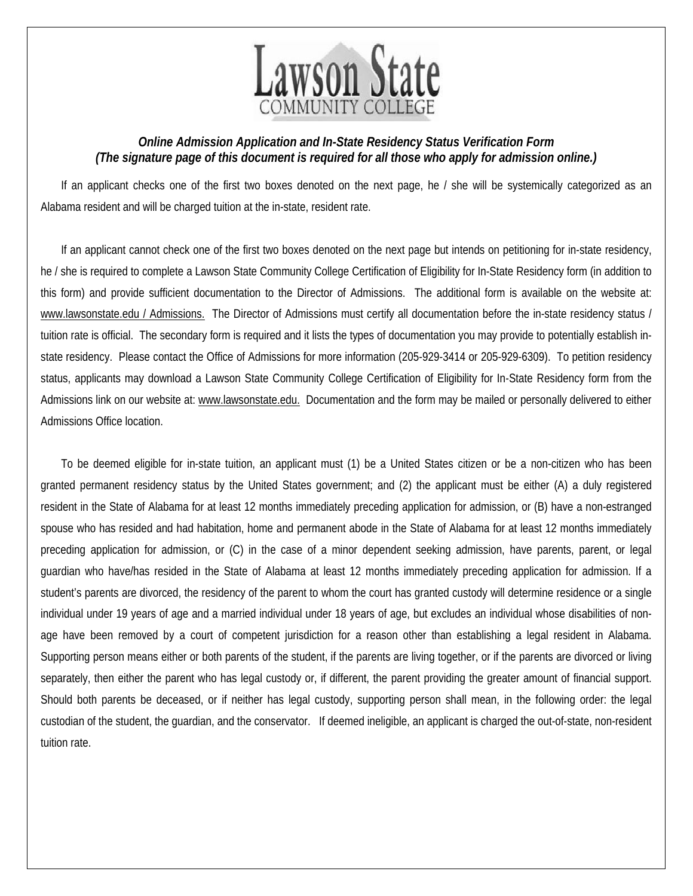

## *Online Admission Application and In-State Residency Status Verification Form (The signature page of this document is required for all those who apply for admission online.)*

If an applicant checks one of the first two boxes denoted on the next page, he / she will be systemically categorized as an Alabama resident and will be charged tuition at the in-state, resident rate.

If an applicant cannot check one of the first two boxes denoted on the next page but intends on petitioning for in-state residency, he / she is required to complete a Lawson State Community College Certification of Eligibility for In-State Residency form (in addition to this form) and provide sufficient documentation to the Director of Admissions. The additional form is available on the website at: www.lawsonstate.edu / Admissions. The Director of Admissions must certify all documentation before the in-state residency status / tuition rate is official. The secondary form is required and it lists the types of documentation you may provide to potentially establish instate residency. Please contact the Office of Admissions for more information (205-929-3414 or 205-929-6309). To petition residency status, applicants may download a Lawson State Community College Certification of Eligibility for In-State Residency form from the Admissions link on our website at: www.lawsonstate.edu. Documentation and the form may be mailed or personally delivered to either Admissions Office location.

To be deemed eligible for in-state tuition, an applicant must (1) be a United States citizen or be a non-citizen who has been granted permanent residency status by the United States government; and (2) the applicant must be either (A) a duly registered resident in the State of Alabama for at least 12 months immediately preceding application for admission, or (B) have a non-estranged spouse who has resided and had habitation, home and permanent abode in the State of Alabama for at least 12 months immediately preceding application for admission, or (C) in the case of a minor dependent seeking admission, have parents, parent, or legal guardian who have/has resided in the State of Alabama at least 12 months immediately preceding application for admission. If a student's parents are divorced, the residency of the parent to whom the court has granted custody will determine residence or a single individual under 19 years of age and a married individual under 18 years of age, but excludes an individual whose disabilities of nonage have been removed by a court of competent jurisdiction for a reason other than establishing a legal resident in Alabama. Supporting person means either or both parents of the student, if the parents are living together, or if the parents are divorced or living separately, then either the parent who has legal custody or, if different, the parent providing the greater amount of financial support. Should both parents be deceased, or if neither has legal custody, supporting person shall mean, in the following order: the legal custodian of the student, the guardian, and the conservator. If deemed ineligible, an applicant is charged the out-of-state, non-resident tuition rate.